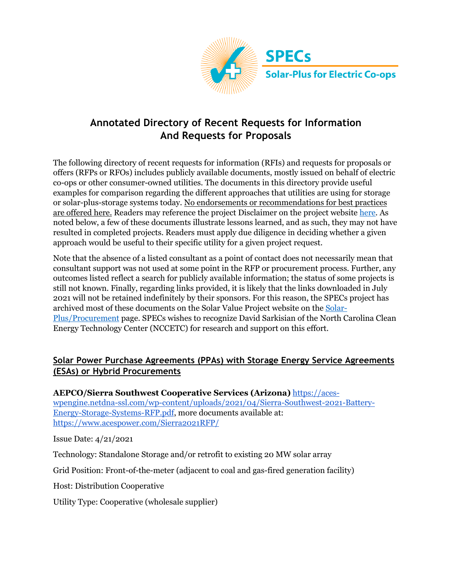

# **Annotated Directory of Recent Requests for Information And Requests for Proposals**

The following directory of recent requests for information (RFIs) and requests for proposals or offers (RFPs or RFOs) includes publicly available documents, mostly issued on behalf of electric co-ops or other consumer-owned utilities. The documents in this directory provide useful examples for comparison regarding the different approaches that utilities are using for storage or solar-plus-storage systems today. No endorsements or recommendations for best practices are offered here. Readers may reference the project Disclaimer on the project website here. As noted below, a few of these documents illustrate lessons learned, and as such, they may not have resulted in completed projects. Readers must apply due diligence in deciding whether a given approach would be useful to their specific utility for a given project request.

Note that the absence of a listed consultant as a point of contact does not necessarily mean that consultant support was not used at some point in the RFP or procurement process. Further, any outcomes listed reflect a search for publicly available information; the status of some projects is still not known. Finally, regarding links provided, it is likely that the links downloaded in July 2021 will not be retained indefinitely by their sponsors. For this reason, the SPECs project has archived most of these documents on the Solar Value Project website on the Solar-Plus/Procurement page. SPECs wishes to recognize David Sarkisian of the North Carolina Clean Energy Technology Center (NCCETC) for research and support on this effort.

### **Solar Power Purchase Agreements (PPAs) with Storage Energy Service Agreements (ESAs) or Hybrid Procurements**

**AEPCO/Sierra Southwest Cooperative Services (Arizona)** https://aceswpengine.netdna-ssl.com/wp-content/uploads/2021/04/Sierra-Southwest-2021-Battery-Energy-Storage-Systems-RFP.pdf, more documents available at: https://www.acespower.com/Sierra2021RFP/

Issue Date: 4/21/2021

Technology: Standalone Storage and/or retrofit to existing 20 MW solar array

Grid Position: Front-of-the-meter (adjacent to coal and gas-fired generation facility)

Host: Distribution Cooperative

Utility Type: Cooperative (wholesale supplier)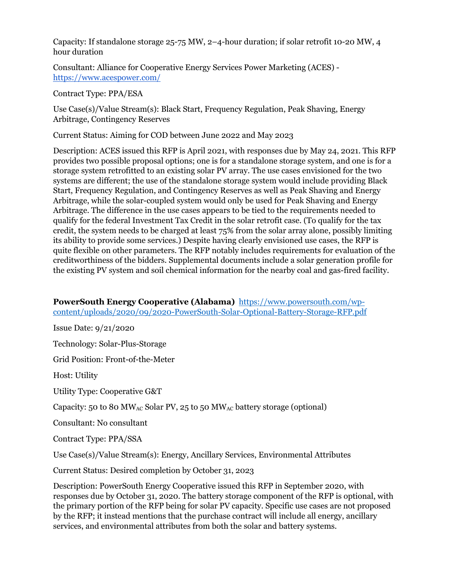Capacity: If standalone storage 25-75 MW, 2–4-hour duration; if solar retrofit 10-20 MW, 4 hour duration

Consultant: Alliance for Cooperative Energy Services Power Marketing (ACES) https://www.acespower.com/

Contract Type: PPA/ESA

Use Case(s)/Value Stream(s): Black Start, Frequency Regulation, Peak Shaving, Energy Arbitrage, Contingency Reserves

Current Status: Aiming for COD between June 2022 and May 2023

Description: ACES issued this RFP is April 2021, with responses due by May 24, 2021. This RFP provides two possible proposal options; one is for a standalone storage system, and one is for a storage system retrofitted to an existing solar PV array. The use cases envisioned for the two systems are different; the use of the standalone storage system would include providing Black Start, Frequency Regulation, and Contingency Reserves as well as Peak Shaving and Energy Arbitrage, while the solar-coupled system would only be used for Peak Shaving and Energy Arbitrage. The difference in the use cases appears to be tied to the requirements needed to qualify for the federal Investment Tax Credit in the solar retrofit case. (To qualify for the tax credit, the system needs to be charged at least 75% from the solar array alone, possibly limiting its ability to provide some services.) Despite having clearly envisioned use cases, the RFP is quite flexible on other parameters. The RFP notably includes requirements for evaluation of the creditworthiness of the bidders. Supplemental documents include a solar generation profile for the existing PV system and soil chemical information for the nearby coal and gas-fired facility.

**PowerSouth Energy Cooperative (Alabama)** https://www.powersouth.com/wpcontent/uploads/2020/09/2020-PowerSouth-Solar-Optional-Battery-Storage-RFP.pdf

Issue Date: 9/21/2020

Technology: Solar-Plus-Storage

Grid Position: Front-of-the-Meter

Host: Utility

Utility Type: Cooperative G&T

Capacity: 50 to 80 MW<sub>AC</sub> Solar PV, 25 to 50 MW<sub>AC</sub> battery storage (optional)

Consultant: No consultant

Contract Type: PPA/SSA

Use Case(s)/Value Stream(s): Energy, Ancillary Services, Environmental Attributes

Current Status: Desired completion by October 31, 2023

Description: PowerSouth Energy Cooperative issued this RFP in September 2020, with responses due by October 31, 2020. The battery storage component of the RFP is optional, with the primary portion of the RFP being for solar PV capacity. Specific use cases are not proposed by the RFP; it instead mentions that the purchase contract will include all energy, ancillary services, and environmental attributes from both the solar and battery systems.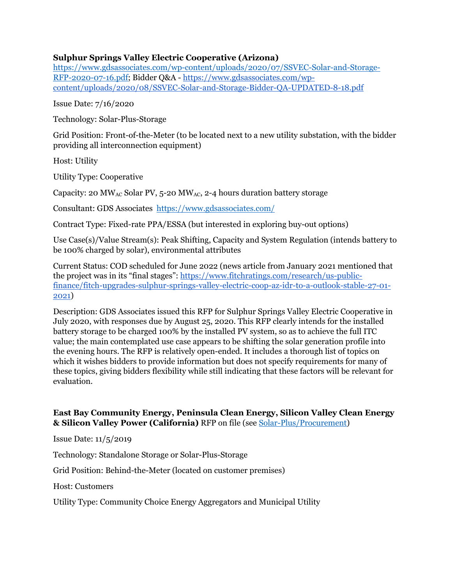#### **Sulphur Springs Valley Electric Cooperative (Arizona)**

https://www.gdsassociates.com/wp-content/uploads/2020/07/SSVEC-Solar-and-Storage-RFP-2020-07-16.pdf; Bidder Q&A - https://www.gdsassociates.com/wpcontent/uploads/2020/08/SSVEC-Solar-and-Storage-Bidder-QA-UPDATED-8-18.pdf

Issue Date: 7/16/2020

Technology: Solar-Plus-Storage

Grid Position: Front-of-the-Meter (to be located next to a new utility substation, with the bidder providing all interconnection equipment)

Host: Utility

Utility Type: Cooperative

Capacity: 20 MW<sub>AC</sub> Solar PV, 5-20 MW<sub>AC</sub>, 2-4 hours duration battery storage

Consultant: GDS Associates https://www.gdsassociates.com/

Contract Type: Fixed-rate PPA/ESSA (but interested in exploring buy-out options)

Use Case(s)/Value Stream(s): Peak Shifting, Capacity and System Regulation (intends battery to be 100% charged by solar), environmental attributes

Current Status: COD scheduled for June 2022 (news article from January 2021 mentioned that the project was in its "final stages": https://www.fitchratings.com/research/us-publicfinance/fitch-upgrades-sulphur-springs-valley-electric-coop-az-idr-to-a-outlook-stable-27-01- 2021)

Description: GDS Associates issued this RFP for Sulphur Springs Valley Electric Cooperative in July 2020, with responses due by August 25, 2020. This RFP clearly intends for the installed battery storage to be charged 100% by the installed PV system, so as to achieve the full ITC value; the main contemplated use case appears to be shifting the solar generation profile into the evening hours. The RFP is relatively open-ended. It includes a thorough list of topics on which it wishes bidders to provide information but does not specify requirements for many of these topics, giving bidders flexibility while still indicating that these factors will be relevant for evaluation.

#### **East Bay Community Energy, Peninsula Clean Energy, Silicon Valley Clean Energy & Silicon Valley Power (California)** RFP on file (see Solar-Plus/Procurement)

Issue Date: 11/5/2019

Technology: Standalone Storage or Solar-Plus-Storage

Grid Position: Behind-the-Meter (located on customer premises)

Host: Customers

Utility Type: Community Choice Energy Aggregators and Municipal Utility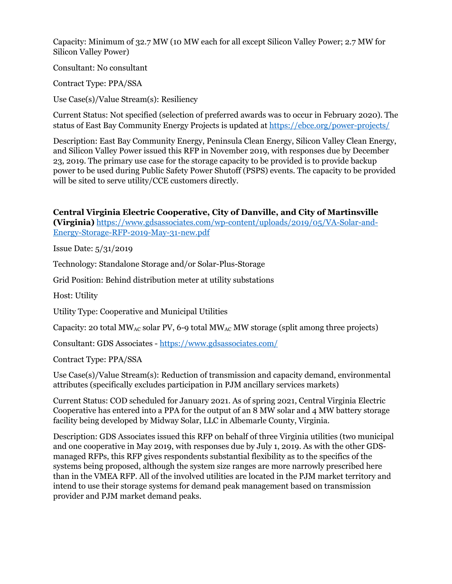Capacity: Minimum of 32.7 MW (10 MW each for all except Silicon Valley Power; 2.7 MW for Silicon Valley Power)

Consultant: No consultant

Contract Type: PPA/SSA

Use Case(s)/Value Stream(s): Resiliency

Current Status: Not specified (selection of preferred awards was to occur in February 2020). The status of East Bay Community Energy Projects is updated at https://ebce.org/power-projects/

Description: East Bay Community Energy, Peninsula Clean Energy, Silicon Valley Clean Energy, and Silicon Valley Power issued this RFP in November 2019, with responses due by December 23, 2019. The primary use case for the storage capacity to be provided is to provide backup power to be used during Public Safety Power Shutoff (PSPS) events. The capacity to be provided will be sited to serve utility/CCE customers directly.

**Central Virginia Electric Cooperative, City of Danville, and City of Martinsville (Virginia)** https://www.gdsassociates.com/wp-content/uploads/2019/05/VA-Solar-and-Energy-Storage-RFP-2019-May-31-new.pdf

Issue Date: 5/31/2019

Technology: Standalone Storage and/or Solar-Plus-Storage

Grid Position: Behind distribution meter at utility substations

Host: Utility

Utility Type: Cooperative and Municipal Utilities

Capacity: 20 total MW<sub>AC</sub> solar PV, 6-9 total MW<sub>AC</sub> MW storage (split among three projects)

Consultant: GDS Associates - https://www.gdsassociates.com/

Contract Type: PPA/SSA

Use Case(s)/Value Stream(s): Reduction of transmission and capacity demand, environmental attributes (specifically excludes participation in PJM ancillary services markets)

Current Status: COD scheduled for January 2021. As of spring 2021, Central Virginia Electric Cooperative has entered into a PPA for the output of an 8 MW solar and 4 MW battery storage facility being developed by Midway Solar, LLC in Albemarle County, Virginia.

Description: GDS Associates issued this RFP on behalf of three Virginia utilities (two municipal and one cooperative in May 2019, with responses due by July 1, 2019. As with the other GDSmanaged RFPs, this RFP gives respondents substantial flexibility as to the specifics of the systems being proposed, although the system size ranges are more narrowly prescribed here than in the VMEA RFP. All of the involved utilities are located in the PJM market territory and intend to use their storage systems for demand peak management based on transmission provider and PJM market demand peaks.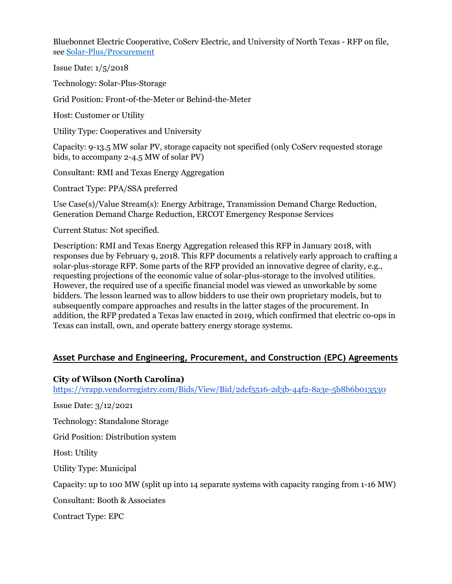Bluebonnet Electric Cooperative, CoServ Electric, and University of North Texas - RFP on file, see Solar-Plus/Procurement

Issue Date: 1/5/2018

Technology: Solar-Plus-Storage

Grid Position: Front-of-the-Meter or Behind-the-Meter

Host: Customer or Utility

Utility Type: Cooperatives and University

Capacity: 9-13.5 MW solar PV, storage capacity not specified (only CoServ requested storage bids, to accompany 2-4.5 MW of solar PV)

Consultant: RMI and Texas Energy Aggregation

Contract Type: PPA/SSA preferred

Use Case(s)/Value Stream(s): Energy Arbitrage, Transmission Demand Charge Reduction, Generation Demand Charge Reduction, ERCOT Emergency Response Services

Current Status: Not specified.

Description: RMI and Texas Energy Aggregation released this RFP in January 2018, with responses due by February 9, 2018. This RFP documents a relatively early approach to crafting a solar-plus-storage RFP. Some parts of the RFP provided an innovative degree of clarity, e.g., requesting projections of the economic value of solar-plus-storage to the involved utilities. However, the required use of a specific financial model was viewed as unworkable by some bidders. The lesson learned was to allow bidders to use their own proprietary models, but to subsequently compare approaches and results in the latter stages of the procurement. In addition, the RFP predated a Texas law enacted in 2019, which confirmed that electric co-ops in Texas can install, own, and operate battery energy storage systems.

#### **Asset Purchase and Engineering, Procurement, and Construction (EPC) Agreements**

#### **City of Wilson (North Carolina)**

https://vrapp.vendorregistry.com/Bids/View/Bid/2dcf5516-2d3b-44f2-8a3e-5b8b6b013530

Issue Date: 3/12/2021 Technology: Standalone Storage Grid Position: Distribution system Host: Utility Utility Type: Municipal Capacity: up to 100 MW (split up into 14 separate systems with capacity ranging from 1-16 MW) Consultant: Booth & Associates Contract Type: EPC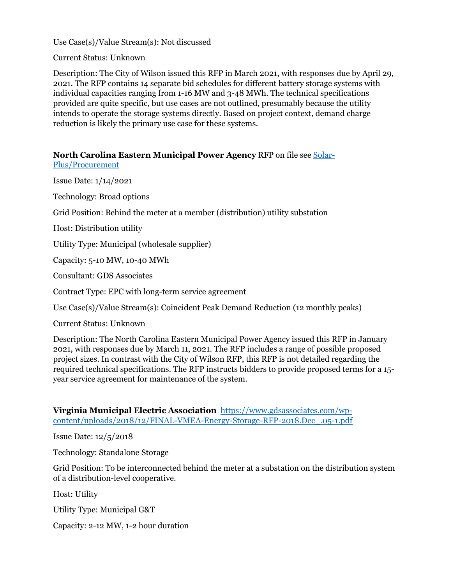Use Case(s)/Value Stream(s): Not discussed

Current Status: Unknown

Description: The City of Wilson issued this RFP in March 2021, with responses due by April 29, 2021. The RFP contains 14 separate bid schedules for different battery storage systems with individual capacities ranging from 1-16 MW and 3-48 MWh. The technical specifications provided are quite specific, but use cases are not outlined, presumably because the utility intends to operate the storage systems directly. Based on project context, demand charge reduction is likely the primary use case for these systems.

### **North Carolina Eastern Municipal Power Agency** RFP on file see Solar-

Plus/Procurement

Issue Date: 1/14/2021

Technology: Broad options

Grid Position: Behind the meter at a member (distribution) utility substation

Host: Distribution utility

Utility Type: Municipal (wholesale supplier)

Capacity: 5-10 MW, 10-40 MWh

Consultant: GDS Associates

Contract Type: EPC with long-term service agreement

Use Case(s)/Value Stream(s): Coincident Peak Demand Reduction (12 monthly peaks)

Current Status: Unknown

Description: The North Carolina Eastern Municipal Power Agency issued this RFP in January 2021, with responses due by March 11, 2021. The RFP includes a range of possible proposed project sizes. In contrast with the City of Wilson RFP, this RFP is not detailed regarding the required technical specifications. The RFP instructs bidders to provide proposed terms for a 15 year service agreement for maintenance of the system.

**Virginia Municipal Electric Association** https://www.gdsassociates.com/wpcontent/uploads/2018/12/FINAL-VMEA-Energy-Storage-RFP-2018.Dec\_.05-1.pdf

Issue Date: 12/5/2018

Technology: Standalone Storage

Grid Position: To be interconnected behind the meter at a substation on the distribution system of a distribution-level cooperative.

Host: Utility

Utility Type: Municipal G&T

Capacity: 2-12 MW, 1-2 hour duration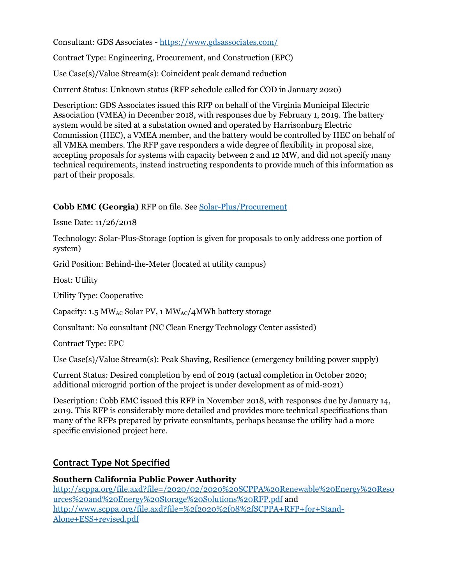Consultant: GDS Associates - https://www.gdsassociates.com/

Contract Type: Engineering, Procurement, and Construction (EPC)

Use Case(s)/Value Stream(s): Coincident peak demand reduction

Current Status: Unknown status (RFP schedule called for COD in January 2020)

Description: GDS Associates issued this RFP on behalf of the Virginia Municipal Electric Association (VMEA) in December 2018, with responses due by February 1, 2019. The battery system would be sited at a substation owned and operated by Harrisonburg Electric Commission (HEC), a VMEA member, and the battery would be controlled by HEC on behalf of all VMEA members. The RFP gave responders a wide degree of flexibility in proposal size, accepting proposals for systems with capacity between 2 and 12 MW, and did not specify many technical requirements, instead instructing respondents to provide much of this information as part of their proposals.

### **Cobb EMC (Georgia)** RFP on file. See Solar-Plus/Procurement

Issue Date: 11/26/2018

Technology: Solar-Plus-Storage (option is given for proposals to only address one portion of system)

Grid Position: Behind-the-Meter (located at utility campus)

Host: Utility

Utility Type: Cooperative

Capacity: 1.5 MW<sub>AC</sub> Solar PV, 1 MW<sub>AC</sub>/4 MWh battery storage

Consultant: No consultant (NC Clean Energy Technology Center assisted)

Contract Type: EPC

Use Case(s)/Value Stream(s): Peak Shaving, Resilience (emergency building power supply)

Current Status: Desired completion by end of 2019 (actual completion in October 2020; additional microgrid portion of the project is under development as of mid-2021)

Description: Cobb EMC issued this RFP in November 2018, with responses due by January 14, 2019. This RFP is considerably more detailed and provides more technical specifications than many of the RFPs prepared by private consultants, perhaps because the utility had a more specific envisioned project here.

### **Contract Type Not Specified**

## **Southern California Public Power Authority**

http://scppa.org/file.axd?file=/2020/02/2020%20SCPPA%20Renewable%20Energy%20Reso urces%20and%20Energy%20Storage%20Solutions%20RFP.pdf and http://www.scppa.org/file.axd?file=%2f2020%2f08%2fSCPPA+RFP+for+Stand-Alone+ESS+revised.pdf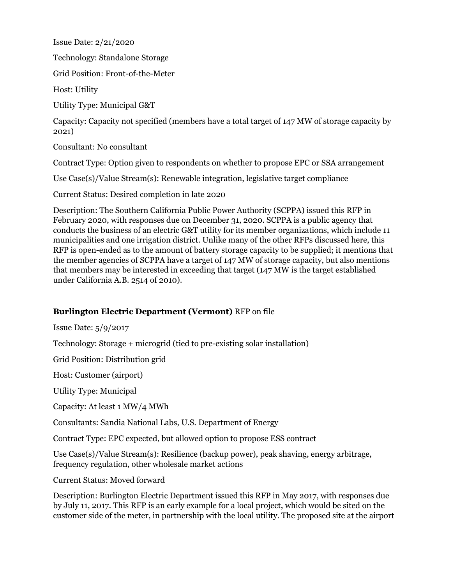Issue Date: 2/21/2020

Technology: Standalone Storage

Grid Position: Front-of-the-Meter

Host: Utility

Utility Type: Municipal G&T

Capacity: Capacity not specified (members have a total target of 147 MW of storage capacity by 2021)

Consultant: No consultant

Contract Type: Option given to respondents on whether to propose EPC or SSA arrangement

Use Case(s)/Value Stream(s): Renewable integration, legislative target compliance

Current Status: Desired completion in late 2020

Description: The Southern California Public Power Authority (SCPPA) issued this RFP in February 2020, with responses due on December 31, 2020. SCPPA is a public agency that conducts the business of an electric G&T utility for its member organizations, which include 11 municipalities and one irrigation district. Unlike many of the other RFPs discussed here, this RFP is open-ended as to the amount of battery storage capacity to be supplied; it mentions that the member agencies of SCPPA have a target of 147 MW of storage capacity, but also mentions that members may be interested in exceeding that target (147 MW is the target established under California A.B. 2514 of 2010).

#### **Burlington Electric Department (Vermont)** RFP on file

Issue Date: 5/9/2017

Technology: Storage + microgrid (tied to pre-existing solar installation)

Grid Position: Distribution grid

Host: Customer (airport)

Utility Type: Municipal

Capacity: At least 1 MW/4 MWh

Consultants: Sandia National Labs, U.S. Department of Energy

Contract Type: EPC expected, but allowed option to propose ESS contract

Use Case(s)/Value Stream(s): Resilience (backup power), peak shaving, energy arbitrage, frequency regulation, other wholesale market actions

Current Status: Moved forward

Description: Burlington Electric Department issued this RFP in May 2017, with responses due by July 11, 2017. This RFP is an early example for a local project, which would be sited on the customer side of the meter, in partnership with the local utility. The proposed site at the airport